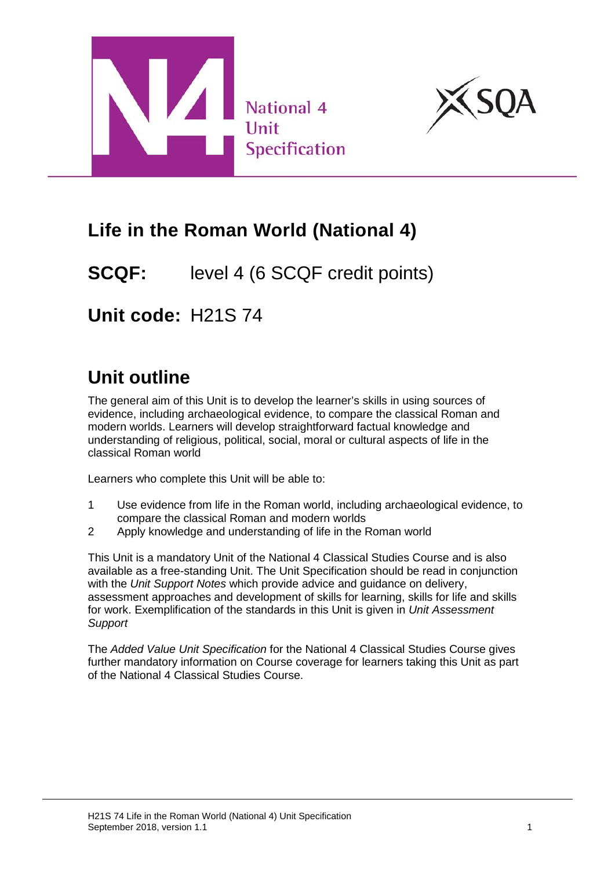



# **Life in the Roman World (National 4)**

## **SCQF:** level 4 (6 SCQF credit points)

**Unit code:** H21S 74

# **Unit outline**

The general aim of this Unit is to develop the learner's skills in using sources of evidence, including archaeological evidence, to compare the classical Roman and modern worlds. Learners will develop straightforward factual knowledge and understanding of religious, political, social, moral or cultural aspects of life in the classical Roman world

Learners who complete this Unit will be able to:

- 1 Use evidence from life in the Roman world, including archaeological evidence, to compare the classical Roman and modern worlds
- 2 Apply knowledge and understanding of life in the Roman world

This Unit is a mandatory Unit of the National 4 Classical Studies Course and is also available as a free-standing Unit. The Unit Specification should be read in conjunction with the *Unit Support Notes* which provide advice and guidance on delivery, assessment approaches and development of skills for learning, skills for life and skills for work. Exemplification of the standards in this Unit is given in *Unit Assessment Support*

The *Added Value Unit Specification* for the National 4 Classical Studies Course gives further mandatory information on Course coverage for learners taking this Unit as part of the National 4 Classical Studies Course.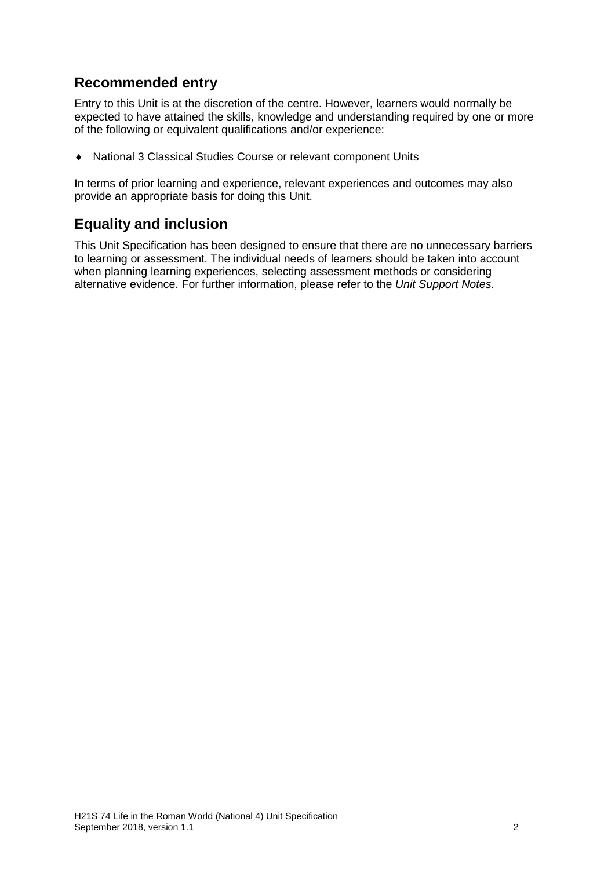#### **Recommended entry**

Entry to this Unit is at the discretion of the centre. However, learners would normally be expected to have attained the skills, knowledge and understanding required by one or more of the following or equivalent qualifications and/or experience:

♦ National 3 Classical Studies Course or relevant component Units

In terms of prior learning and experience, relevant experiences and outcomes may also provide an appropriate basis for doing this Unit.

#### **Equality and inclusion**

This Unit Specification has been designed to ensure that there are no unnecessary barriers to learning or assessment. The individual needs of learners should be taken into account when planning learning experiences, selecting assessment methods or considering alternative evidence. For further information, please refer to the *Unit Support Notes.*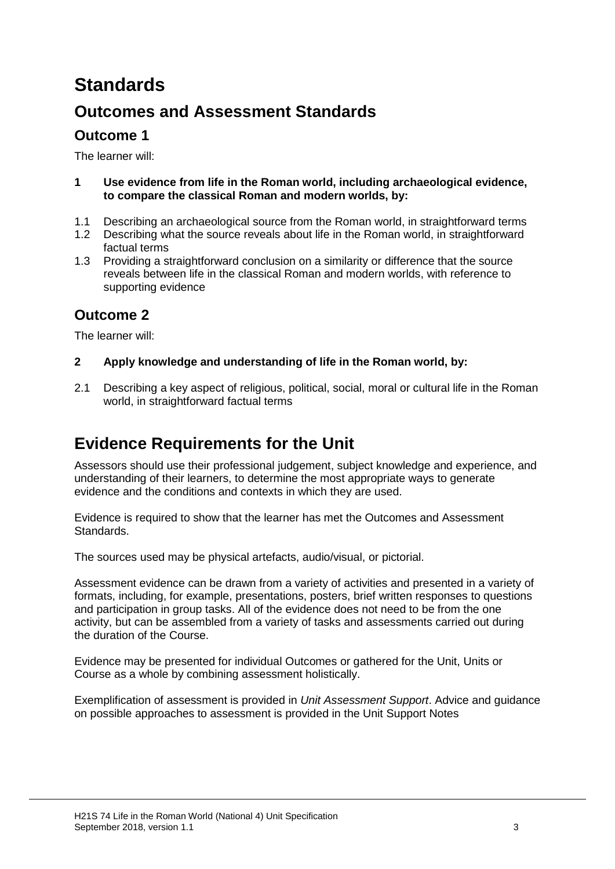# **Standards**

### **Outcomes and Assessment Standards**

### **Outcome 1**

The learner will:

- **1 Use evidence from life in the Roman world, including archaeological evidence, to compare the classical Roman and modern worlds, by:**
- 1.1 Describing an archaeological source from the Roman world, in straightforward terms
- 1.2 Describing what the source reveals about life in the Roman world, in straightforward factual terms
- 1.3 Providing a straightforward conclusion on a similarity or difference that the source reveals between life in the classical Roman and modern worlds, with reference to supporting evidence

### **Outcome 2**

The learner will:

- **2 Apply knowledge and understanding of life in the Roman world, by:**
- 2.1 Describing a key aspect of religious, political, social, moral or cultural life in the Roman world, in straightforward factual terms

## **Evidence Requirements for the Unit**

Assessors should use their professional judgement, subject knowledge and experience, and understanding of their learners, to determine the most appropriate ways to generate evidence and the conditions and contexts in which they are used.

Evidence is required to show that the learner has met the Outcomes and Assessment Standards.

The sources used may be physical artefacts, audio/visual, or pictorial.

Assessment evidence can be drawn from a variety of activities and presented in a variety of formats, including, for example, presentations, posters, brief written responses to questions and participation in group tasks. All of the evidence does not need to be from the one activity, but can be assembled from a variety of tasks and assessments carried out during the duration of the Course.

Evidence may be presented for individual Outcomes or gathered for the Unit, Units or Course as a whole by combining assessment holistically.

Exemplification of assessment is provided in *Unit Assessment Support*. Advice and guidance on possible approaches to assessment is provided in the Unit Support Notes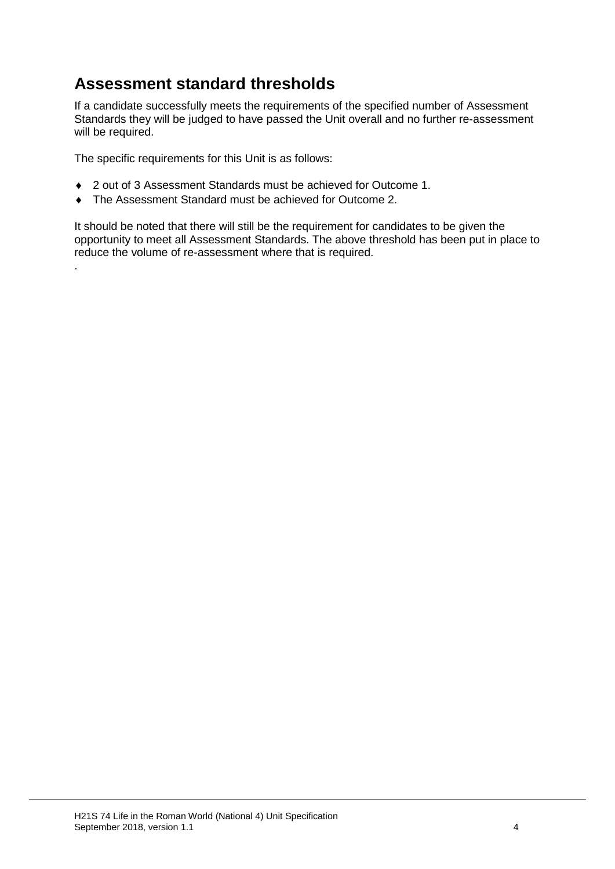### **Assessment standard thresholds**

If a candidate successfully meets the requirements of the specified number of Assessment Standards they will be judged to have passed the Unit overall and no further re-assessment will be required.

The specific requirements for this Unit is as follows:

.

- ♦ 2 out of 3 Assessment Standards must be achieved for Outcome 1.
- ♦ The Assessment Standard must be achieved for Outcome 2.

It should be noted that there will still be the requirement for candidates to be given the opportunity to meet all Assessment Standards. The above threshold has been put in place to reduce the volume of re-assessment where that is required.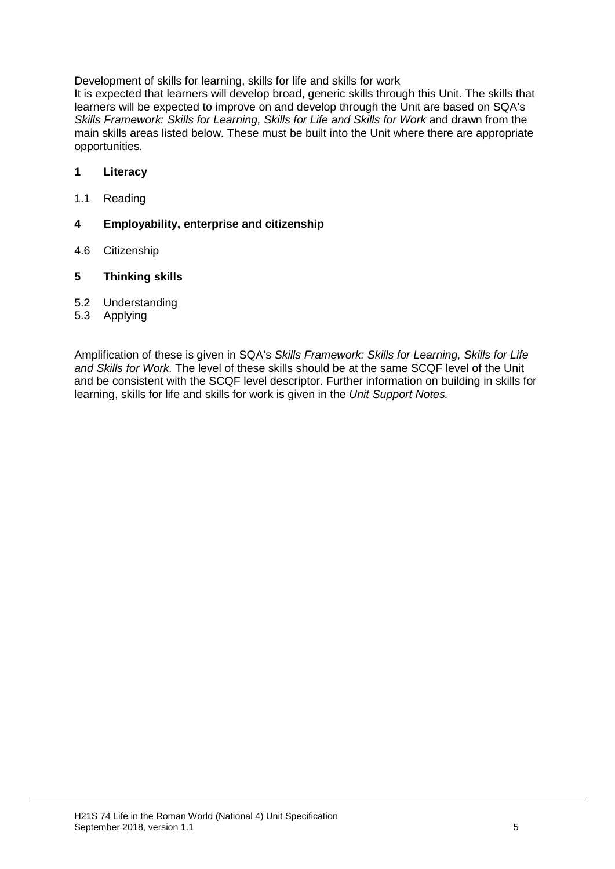Development of skills for learning, skills for life and skills for work

It is expected that learners will develop broad, generic skills through this Unit. The skills that learners will be expected to improve on and develop through the Unit are based on SQA's **Skills Framework: Skills for Learning, Skills for Life and Skills for Work and drawn from the** main skills areas listed below. These must be built into the Unit where there are appropriate opportunities.

#### **1 Literacy**

1.1 Reading

#### **4 Employability, enterprise and citizenship**

4.6 Citizenship

#### **5 Thinking skills**

- 5.2 Understanding<br>5.3 Applying
- **Applying**

Amplification of these is given in SQA's *Skills Framework: Skills for Learning, Skills for Life and Skills for Work.* The level of these skills should be at the same SCQF level of the Unit and be consistent with the SCQF level descriptor. Further information on building in skills for learning, skills for life and skills for work is given in the *Unit Support Notes.*